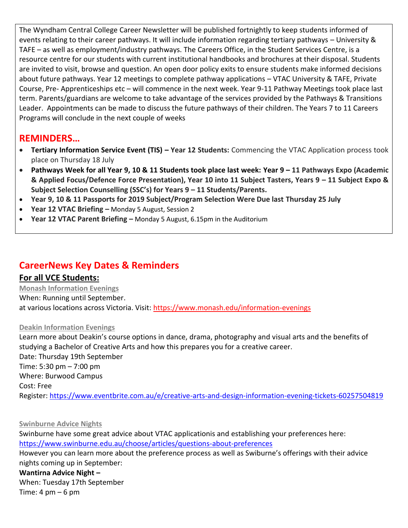The Wyndham Central College Career Newsletter will be published fortnightly to keep students informed of events relating to their career pathways. It will include information regarding tertiary pathways – University & TAFE – as well as employment/industry pathways. The Careers Office, in the Student Services Centre, is a resource centre for our students with current institutional handbooks and brochures at their disposal. Students are invited to visit, browse and question. An open door policy exits to ensure students make informed decisions about future pathways. Year 12 meetings to complete pathway applications – VTAC University & TAFE, Private Course, Pre- Apprenticeships etc – will commence in the next week. Year 9-11 Pathway Meetings took place last term. Parents/guardians are welcome to take advantage of the services provided by the Pathways & Transitions Leader. Appointments can be made to discuss the future pathways of their children. The Years 7 to 11 Careers Programs will conclude in the next couple of weeks

# **REMINDERS…**

- **Tertiary Information Service Event (TIS) – Year 12 Students:** Commencing the VTAC Application process took place on Thursday 18 July
- **Pathways Week for all Year 9, 10 & 11 Students took place last week: Year 9 – 11 Pathways Expo (Academic & Applied Focus/Defence Force Presentation), Year 10 into 11 Subject Tasters, Years 9 – 11 Subject Expo & Subject Selection Counselling (SSC's) for Years 9 – 11 Students/Parents.**
- **Year 9, 10 & 11 Passports for 2019 Subject/Program Selection Were Due last Thursday 25 July**
- **Year 12 VTAC Briefing –** Monday 5 August, Session 2
- **Year 12 VTAC Parent Briefing –** Monday 5 August, 6.15pm in the Auditorium

# **CareerNews Key Dates & Reminders**

### **For all VCE Students:**

**Monash Information Evenings** When: Running until September. at various locations across Victoria. Visit:<https://www.monash.edu/information-evenings>

#### **Deakin Information Evenings**

Learn more about Deakin's course options in dance, drama, photography and visual arts and the benefits of studying a Bachelor of Creative Arts and how this prepares you for a creative career. Date: Thursday 19th September Time: 5:30 pm – 7:00 pm Where: Burwood Campus Cost: Free Register:<https://www.eventbrite.com.au/e/creative-arts-and-design-information-evening-tickets-60257504819>

#### **Swinburne Advice Nights**

Swinburne have some great advice about VTAC applicationis and establishing your preferences here: <https://www.swinburne.edu.au/choose/articles/questions-about-preferences>

However you can learn more about the preference process as well as Swiburne's offerings with their advice nights coming up in September:

### **Wantirna Advice Night –**

When: Tuesday 17th September Time:  $4 \text{ pm} - 6 \text{ pm}$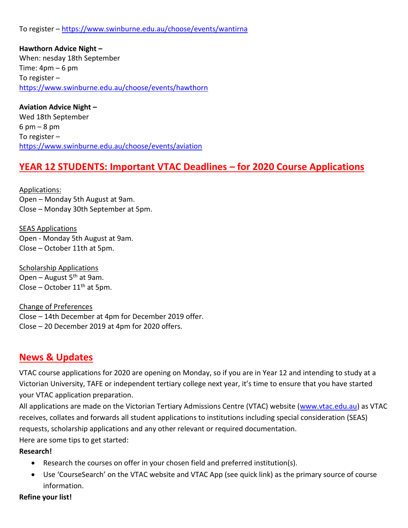To register – <https://www.swinburne.edu.au/choose/events/wantirna>

**Hawthorn Advice Night –** When: nesday 18th September Time:  $4pm - 6pm$ To register – <https://www.swinburne.edu.au/choose/events/hawthorn>

**Aviation Advice Night –** Wed 18th September  $6 \text{ pm} - 8 \text{ pm}$ To register – <https://www.swinburne.edu.au/choose/events/aviation>

# **YEAR 12 STUDENTS: Important VTAC Deadlines – for 2020 Course Applications**

Applications: Open – Monday 5th August at 9am. Close – Monday 30th September at 5pm.

SEAS Applications Open - Monday 5th August at 9am. Close – October 11th at 5pm.

Scholarship Applications Open – August  $5<sup>th</sup>$  at 9am. Close – October  $11<sup>th</sup>$  at 5pm.

Change of Preferences Close – 14th December at 4pm for December 2019 offer. Close – 20 December 2019 at 4pm for 2020 offers.

# **News & Updates**

VTAC course applications for 2020 are opening on Monday, so if you are in Year 12 and intending to study at a Victorian University, TAFE or independent tertiary college next year, it's time to ensure that you have started your VTAC application preparation.

All applications are made on the Victorian Tertiary Admissions Centre (VTAC) website [\(www.vtac.edu.au\)](http://www.vtac.edu.au/) as VTAC receives, collates and forwards all student applications to institutions including special consideration (SEAS) requests, scholarship applications and any other relevant or required documentation.

Here are some tips to get started:

### **Research!**

- Research the courses on offer in your chosen field and preferred institution(s).
- Use 'CourseSearch' on the VTAC website and VTAC App (see quick link) as the primary source of course information.

#### **Refine your list!**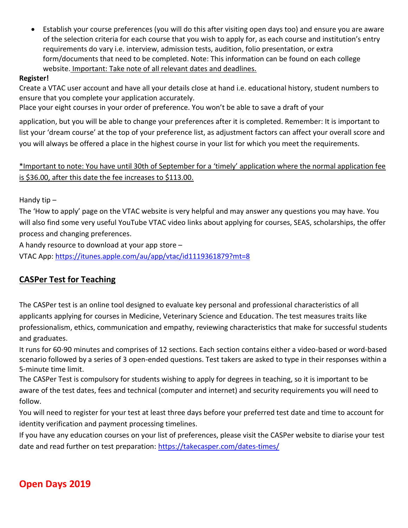• Establish your course preferences (you will do this after visiting open days too) and ensure you are aware of the selection criteria for each course that you wish to apply for, as each course and institution's entry requirements do vary i.e. interview, admission tests, audition, folio presentation, or extra form/documents that need to be completed. Note: This information can be found on each college website. Important: Take note of all relevant dates and deadlines.

### **Register!**

Create a VTAC user account and have all your details close at hand i.e. educational history, student numbers to ensure that you complete your application accurately.

Place your eight courses in your order of preference. You won't be able to save a draft of your

application, but you will be able to change your preferences after it is completed. Remember: It is important to list your 'dream course' at the top of your preference list, as adjustment factors can affect your overall score and you will always be offered a place in the highest course in your list for which you meet the requirements.

### \*Important to note: You have until 30th of September for a 'timely' application where the normal application fee is \$36.00, after this date the fee increases to \$113.00.

Handy tip –

The 'How to apply' page on the VTAC website is very helpful and may answer any questions you may have. You will also find some very useful YouTube VTAC video links about applying for courses, SEAS, scholarships, the offer process and changing preferences.

A handy resource to download at your app store –

VTAC App:<https://itunes.apple.com/au/app/vtac/id1119361879?mt=8>

# **CASPer Test for Teaching**

The CASPer test is an online tool designed to evaluate key personal and professional characteristics of all applicants applying for courses in Medicine, Veterinary Science and Education. The test measures traits like professionalism, ethics, communication and empathy, reviewing characteristics that make for successful students and graduates.

It runs for 60-90 minutes and comprises of 12 sections. Each section contains either a video-based or word-based scenario followed by a series of 3 open-ended questions. Test takers are asked to type in their responses within a 5-minute time limit.

The CASPer Test is compulsory for students wishing to apply for degrees in teaching, so it is important to be aware of the test dates, fees and technical (computer and internet) and security requirements you will need to follow.

You will need to register for your test at least three days before your preferred test date and time to account for identity verification and payment processing timelines.

If you have any education courses on your list of preferences, please visit the CASPer website to diarise your test date and read further on test preparation:<https://takecasper.com/dates-times/>

# **Open Days 2019**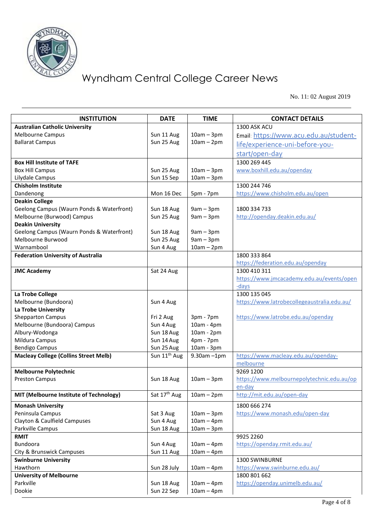

No. 11: 02 August 2019

| <b>INSTITUTION</b>                           | <b>DATE</b>              | <b>TIME</b>                 | <b>CONTACT DETAILS</b>                      |
|----------------------------------------------|--------------------------|-----------------------------|---------------------------------------------|
| <b>Australian Catholic University</b>        |                          |                             | 1300 ASK ACU                                |
| Melbourne Campus                             | Sun 11 Aug               | $10am - 3pm$                | Email: https://www.acu.edu.au/student-      |
| <b>Ballarat Campus</b>                       | Sun 25 Aug               | $10am - 2pm$                | life/experience-uni-before-you-             |
|                                              |                          |                             | start/open-day                              |
| <b>Box Hill Institute of TAFE</b>            |                          |                             | 1300 269 445                                |
| <b>Box Hill Campus</b>                       | Sun 25 Aug               | $10am - 3pm$                | www.boxhill.edu.au/openday                  |
| Lilydale Campus                              | Sun 15 Sep               | $10am - 3pm$                |                                             |
| <b>Chisholm Institute</b>                    |                          |                             | 1300 244 746                                |
| Dandenong                                    | Mon 16 Dec               | 5pm - 7pm                   | https://www.chisholm.edu.au/open            |
| <b>Deakin College</b>                        |                          |                             |                                             |
| Geelong Campus (Waurn Ponds & Waterfront)    | Sun 18 Aug               | $9am - 3pm$                 | 1800 334 733                                |
| Melbourne (Burwood) Campus                   | Sun 25 Aug               | $9am - 3pm$                 | http://openday.deakin.edu.au/               |
| <b>Deakin University</b>                     |                          |                             |                                             |
| Geelong Campus (Waurn Ponds & Waterfront)    | Sun 18 Aug               | $9am - 3pm$                 |                                             |
| Melbourne Burwood                            | Sun 25 Aug               | $9am - 3pm$                 |                                             |
| Warnambool                                   | Sun 4 Aug                | $10am - 2pm$                |                                             |
| <b>Federation University of Australia</b>    |                          |                             | 1800 333 864                                |
|                                              |                          |                             | https://federation.edu.au/openday           |
| <b>JMC Academy</b>                           | Sat 24 Aug               |                             | 1300 410 311                                |
|                                              |                          |                             | https://www.jmcacademy.edu.au/events/open   |
|                                              |                          |                             | -days                                       |
| La Trobe College                             |                          |                             | 1300 135 045                                |
| Melbourne (Bundoora)                         | Sun 4 Aug                |                             | https://www.latrobecollegeaustralia.edu.au/ |
| La Trobe University                          |                          |                             |                                             |
| <b>Shepparton Campus</b>                     | Fri 2 Aug                | 3pm - 7pm                   | https://www.latrobe.edu.au/openday          |
| Melbourne (Bundoora) Campus                  | Sun 4 Aug                | 10am - 4pm                  |                                             |
| Albury-Wodonga                               | Sun 18 Aug               | 10am - 2pm                  |                                             |
| Mildura Campus                               | Sun 14 Aug               | $4pm - 7pm$                 |                                             |
| <b>Bendigo Campus</b>                        | Sun 25 Aug               | 10am - 3pm                  |                                             |
| <b>Macleay College (Collins Street Melb)</b> | Sun 11 <sup>th</sup> Aug | $9.30$ am $-1$ pm           | https://www.macleay.edu.au/openday-         |
|                                              |                          |                             | melbourne                                   |
| <b>Melbourne Polytechnic</b>                 |                          |                             | 9269 1200                                   |
| <b>Preston Campus</b>                        | Sun 18 Aug               | $10am - 3pm$                | https://www.melbournepolytechnic.edu.au/op  |
|                                              |                          |                             | en-day                                      |
| MIT (Melbourne Institute of Technology)      |                          | Sat $17th$ Aug   10am - 2pm | http://mit.edu.au/open-day                  |
| <b>Monash University</b>                     |                          |                             | 1800 666 274                                |
| Peninsula Campus                             | Sat 3 Aug                | $10am - 3pm$                | https://www.monash.edu/open-day             |
| Clayton & Caulfield Campuses                 | Sun 4 Aug                | $10am - 4pm$                |                                             |
| Parkville Campus                             | Sun 18 Aug               | $10am - 3pm$                |                                             |
| <b>RMIT</b>                                  |                          |                             | 9925 2260                                   |
| <b>Bundoora</b>                              | Sun 4 Aug                | $10am - 4pm$                | https://openday.rmit.edu.au/                |
| City & Brunswick Campuses                    | Sun 11 Aug               | $10am - 4pm$                |                                             |
| <b>Swinburne University</b>                  |                          |                             | 1300 SWINBURNE                              |
| Hawthorn                                     | Sun 28 July              | $10am - 4pm$                | https://www.swinburne.edu.au/               |
| <b>University of Melbourne</b>               |                          |                             | 1800 801 662                                |
| Parkville                                    | Sun 18 Aug               | $10am - 4pm$                | https://openday.unimelb.edu.au/             |
| Dookie                                       | Sun 22 Sep               | $10am - 4pm$                |                                             |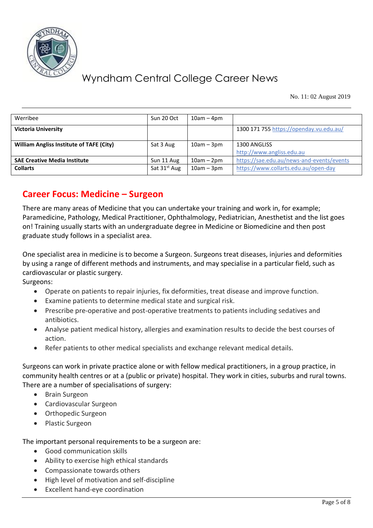

No. 11: 02 August 2019

| Werribee                                        | Sun 20 Oct               | $10am - 4pm$ |                                           |  |
|-------------------------------------------------|--------------------------|--------------|-------------------------------------------|--|
| <b>Victoria University</b>                      |                          |              | 1300 171 755 https://openday.vu.edu.au/   |  |
| <b>William Angliss Institute of TAFE (City)</b> | Sat 3 Aug                | $10am - 3pm$ | 1300 ANGLISS                              |  |
|                                                 |                          |              | http://www.angliss.edu.au                 |  |
| <b>SAE Creative Media Institute</b>             | Sun 11 Aug               | $10am - 2pm$ | https://sae.edu.au/news-and-events/events |  |
| <b>Collarts</b>                                 | Sat 31 <sup>st</sup> Aug | $10am - 3pm$ | https://www.collarts.edu.au/open-day      |  |

# **Career Focus: Medicine – Surgeon**

There are many areas of Medicine that you can undertake your training and work in, for example; Paramedicine, Pathology, Medical Practitioner, Ophthalmology, Pediatrician, Anesthetist and the list goes on! Training usually starts with an undergraduate degree in Medicine or Biomedicine and then post graduate study follows in a specialist area.

One specialist area in medicine is to become a Surgeon. Surgeons treat diseases, injuries and deformities by using a range of different methods and instruments, and may specialise in a particular field, such as cardiovascular or plastic surgery.

Surgeons:

- Operate on patients to repair injuries, fix deformities, treat disease and improve function.
- Examine patients to determine medical state and surgical risk.
- Prescribe pre-operative and post-operative treatments to patients including sedatives and antibiotics.
- Analyse patient medical history, allergies and examination results to decide the best courses of action.
- Refer patients to other medical specialists and exchange relevant medical details.

Surgeons can work in private practice alone or with fellow medical practitioners, in a group practice, in community health centres or at a (public or private) hospital. They work in cities, suburbs and rural towns. There are a number of specialisations of surgery:

- Brain Surgeon
- Cardiovascular Surgeon
- Orthopedic Surgeon
- Plastic Surgeon

The important personal requirements to be a surgeon are:

- Good communication skills
- Ability to exercise high ethical standards
- Compassionate towards others
- High level of motivation and self-discipline
- Excellent hand-eye coordination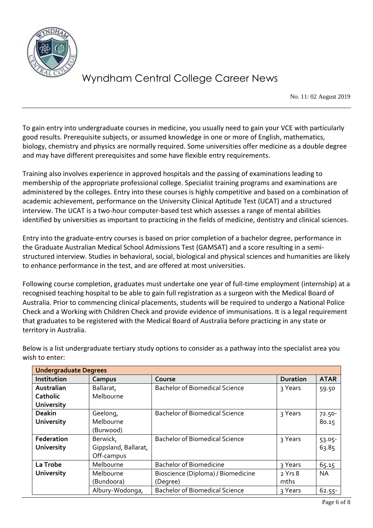

No. 11: 02 August 2019

To gain entry into undergraduate courses in medicine, you usually need to gain your VCE with particularly good results. Prerequisite subjects, or assumed knowledge in one or more of English, mathematics, biology, chemistry and physics are normally required. Some universities offer medicine as a double degree and may have different prerequisites and some have flexible entry requirements.

Training also involves experience in approved hospitals and the passing of examinations leading to membership of the appropriate professional college. Specialist training programs and examinations are administered by the colleges. Entry into these courses is highly competitive and based on a combination of academic achievement, performance on the University Clinical Aptitude Test (UCAT) and a structured interview. The UCAT is a two-hour computer-based test which assesses a range of mental abilities identified by universities as important to practicing in the fields of medicine, dentistry and clinical sciences.

Entry into the graduate-entry courses is based on prior completion of a bachelor degree, performance in the Graduate Australian Medical School Admissions Test (GAMSAT) and a score resulting in a semistructured interview. Studies in behavioral, social, biological and physical sciences and humanities are likely to enhance performance in the test, and are offered at most universities.

Following course completion, graduates must undertake one year of full-time employment (internship) at a recognised teaching hospital to be able to gain full registration as a surgeon with the Medical Board of Australia. Prior to commencing clinical placements, students will be required to undergo a National Police Check and a Working with Children Check and provide evidence of immunisations. It is a legal requirement that graduates to be registered with the Medical Board of Australia before practicing in any state or territory in Australia.

| <b>Undergraduate Degrees</b> |                      |                                       |                 |             |  |  |
|------------------------------|----------------------|---------------------------------------|-----------------|-------------|--|--|
| Institution                  | Campus               | Course                                | <b>Duration</b> | <b>ATAR</b> |  |  |
| Australian                   | Ballarat,            | <b>Bachelor of Biomedical Science</b> | 3 Years         | 59.50       |  |  |
| <b>Catholic</b>              | Melbourne            |                                       |                 |             |  |  |
| <b>University</b>            |                      |                                       |                 |             |  |  |
| <b>Deakin</b>                | Geelong,             | <b>Bachelor of Biomedical Science</b> | 3 Years         | $72.50 -$   |  |  |
| <b>University</b>            | Melbourne            |                                       |                 | 80.15       |  |  |
|                              | (Burwood)            |                                       |                 |             |  |  |
| Federation                   | Berwick,             | <b>Bachelor of Biomedical Science</b> | 3 Years         | 53.05-      |  |  |
| <b>University</b>            | Gippsland, Ballarat, |                                       |                 | 63.85       |  |  |
|                              | Off-campus           |                                       |                 |             |  |  |
| La Trobe                     | Melbourne            | <b>Bachelor of Biomedicine</b>        | 3 Years         | 65.15       |  |  |
| <b>University</b>            | Melbourne            | Bioscience (Diploma) / Biomedicine    | 2 Yrs 8         | <b>NA</b>   |  |  |
|                              | (Bundoora)           | (Degree)                              | mths            |             |  |  |
|                              | Albury-Wodonga,      | <b>Bachelor of Biomedical Science</b> | २ Years         | $62.55 -$   |  |  |

Below is a list undergraduate tertiary study options to consider as a pathway into the specialist area you wish to enter: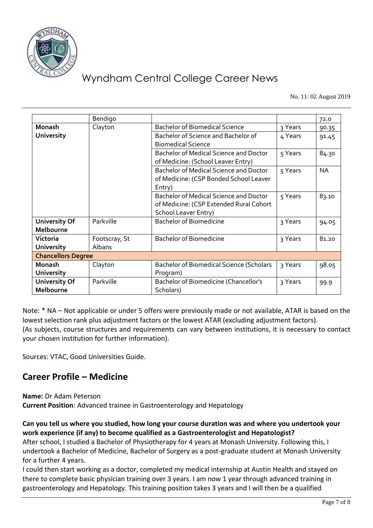

No. 11: 02 August 2019

|                      | Bendigo                   |                                                 |         | 72.0      |  |  |
|----------------------|---------------------------|-------------------------------------------------|---------|-----------|--|--|
| <b>Monash</b>        | Clayton                   | <b>Bachelor of Biomedical Science</b>           | 3 Years | 90.35     |  |  |
| <b>University</b>    |                           | Bachelor of Science and Bachelor of             | 4 Years | 91.45     |  |  |
|                      |                           | <b>Biomedical Science</b>                       |         |           |  |  |
|                      |                           | Bachelor of Medical Science and Doctor          | 5 Years | 84.30     |  |  |
|                      |                           | of Medicine: (School Leaver Entry)              |         |           |  |  |
|                      |                           | Bachelor of Medical Science and Doctor          | 5 Years | <b>NA</b> |  |  |
|                      |                           | of Medicine: (CSP Bonded School Leaver          |         |           |  |  |
|                      |                           | Entry)                                          |         |           |  |  |
|                      |                           | Bachelor of Medical Science and Doctor          | 5 Years | 83.10     |  |  |
|                      |                           | of Medicine: (CSP Extended Rural Cohort         |         |           |  |  |
|                      |                           | School Leaver Entry)                            |         |           |  |  |
| <b>University Of</b> | Parkville                 | <b>Bachelor of Biomedicine</b>                  | 3 Years | 94.05     |  |  |
| Melbourne            |                           |                                                 |         |           |  |  |
| Victoria             | Footscray, St             | <b>Bachelor of Biomedicine</b>                  | 3 Years | 81.20     |  |  |
| <b>University</b>    | <b>Albans</b>             |                                                 |         |           |  |  |
|                      | <b>Chancellors Degree</b> |                                                 |         |           |  |  |
| <b>Monash</b>        | Clayton                   | <b>Bachelor of Biomedical Science (Scholars</b> | 3 Years | 98.05     |  |  |
| University           |                           | Program)                                        |         |           |  |  |
| <b>University Of</b> | Parkville                 | Bachelor of Biomedicine (Chancellor's           | 3 Years | 99.9      |  |  |
| Melbourne            |                           | Scholars)                                       |         |           |  |  |

Note: \* NA – Not applicable or under 5 offers were previously made or not available, ATAR is based on the lowest selection rank plus adjustment factors or the lowest ATAR (excluding adjustment factors). (As subjects, course structures and requirements can vary between institutions, it is necessary to contact your chosen institution for further information).

Sources: VTAC, Good Universities Guide.

# **Career Profile – Medicine**

**Name:** Dr Adam Peterson

**Current Position**: Advanced trainee in Gastroenterology and Hepatology

**Can you tell us where you studied, how long your course duration was and where you undertook your work experience (if any) to become qualified as a Gastroenterologist and Hepatologist?**

After school, I studied a Bachelor of Physiotherapy for 4 years at Monash University. Following this, I undertook a Bachelor of Medicine, Bachelor of Surgery as a post-graduate student at Monash University for a further 4 years.

I could then start working as a doctor, completed my medical internship at Austin Health and stayed on there to complete basic physician training over 3 years. I am now 1 year through advanced training in gastroenterology and Hepatology. This training position takes 3 years and I will then be a qualified